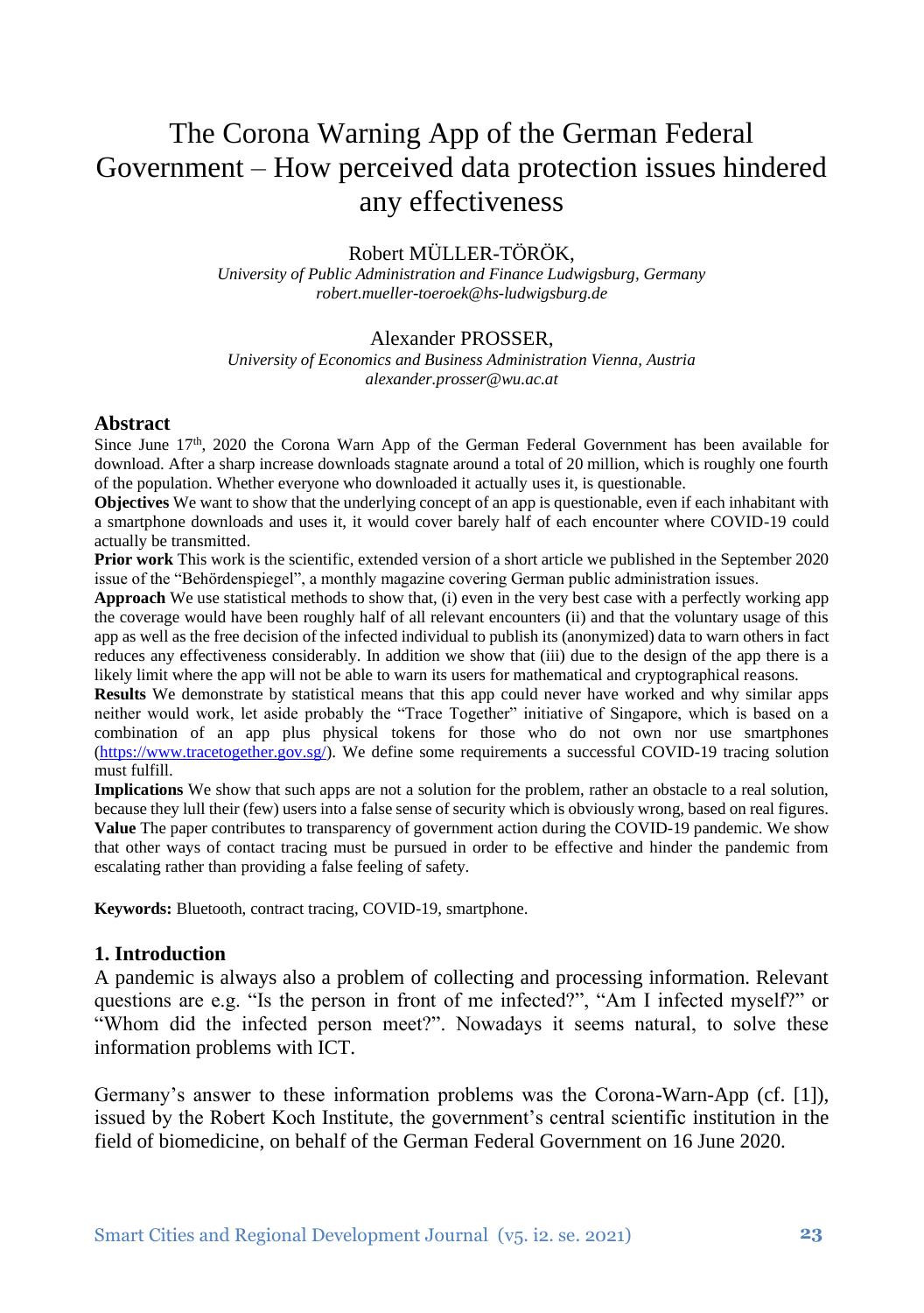# The Corona Warning App of the German Federal Government – How perceived data protection issues hindered any effectiveness

### Robert MÜLLER-TÖRÖK,

*University of Public Administration and Finance Ludwigsburg, Germany robert.mueller-toeroek@hs-ludwigsburg.de*

#### Alexander PROSSER,

*University of Economics and Business Administration Vienna, Austria alexander.prosser@wu.ac.at*

#### **Abstract**

Since June  $17<sup>th</sup>$ , 2020 the Corona Warn App of the German Federal Government has been available for download. After a sharp increase downloads stagnate around a total of 20 million, which is roughly one fourth of the population. Whether everyone who downloaded it actually uses it, is questionable.

**Objectives** We want to show that the underlying concept of an app is questionable, even if each inhabitant with a smartphone downloads and uses it, it would cover barely half of each encounter where COVID-19 could actually be transmitted.

**Prior work** This work is the scientific, extended version of a short article we published in the September 2020 issue of the "Behördenspiegel", a monthly magazine covering German public administration issues.

**Approach** We use statistical methods to show that, (i) even in the very best case with a perfectly working app the coverage would have been roughly half of all relevant encounters (ii) and that the voluntary usage of this app as well as the free decision of the infected individual to publish its (anonymized) data to warn others in fact reduces any effectiveness considerably. In addition we show that (iii) due to the design of the app there is a likely limit where the app will not be able to warn its users for mathematical and cryptographical reasons.

**Results** We demonstrate by statistical means that this app could never have worked and why similar apps neither would work, let aside probably the "Trace Together" initiative of Singapore, which is based on a combination of an app plus physical tokens for those who do not own nor use smartphones [\(https://www.tracetogether.gov.sg/\)](https://www.tracetogether.gov.sg/). We define some requirements a successful COVID-19 tracing solution must fulfill.

**Implications** We show that such apps are not a solution for the problem, rather an obstacle to a real solution, because they lull their (few) users into a false sense of security which is obviously wrong, based on real figures. **Value** The paper contributes to transparency of government action during the COVID-19 pandemic. We show that other ways of contact tracing must be pursued in order to be effective and hinder the pandemic from escalating rather than providing a false feeling of safety.

**Keywords:** Bluetooth, contract tracing, COVID-19, smartphone.

#### **1. Introduction**

A pandemic is always also a problem of collecting and processing information. Relevant questions are e.g. "Is the person in front of me infected?", "Am I infected myself?" or "Whom did the infected person meet?". Nowadays it seems natural, to solve these information problems with ICT.

Germany's answer to these information problems was the Corona-Warn-App (cf. [1]), issued by the Robert Koch Institute, the government's central scientific institution in the field of biomedicine, on behalf of the German Federal Government on 16 June 2020.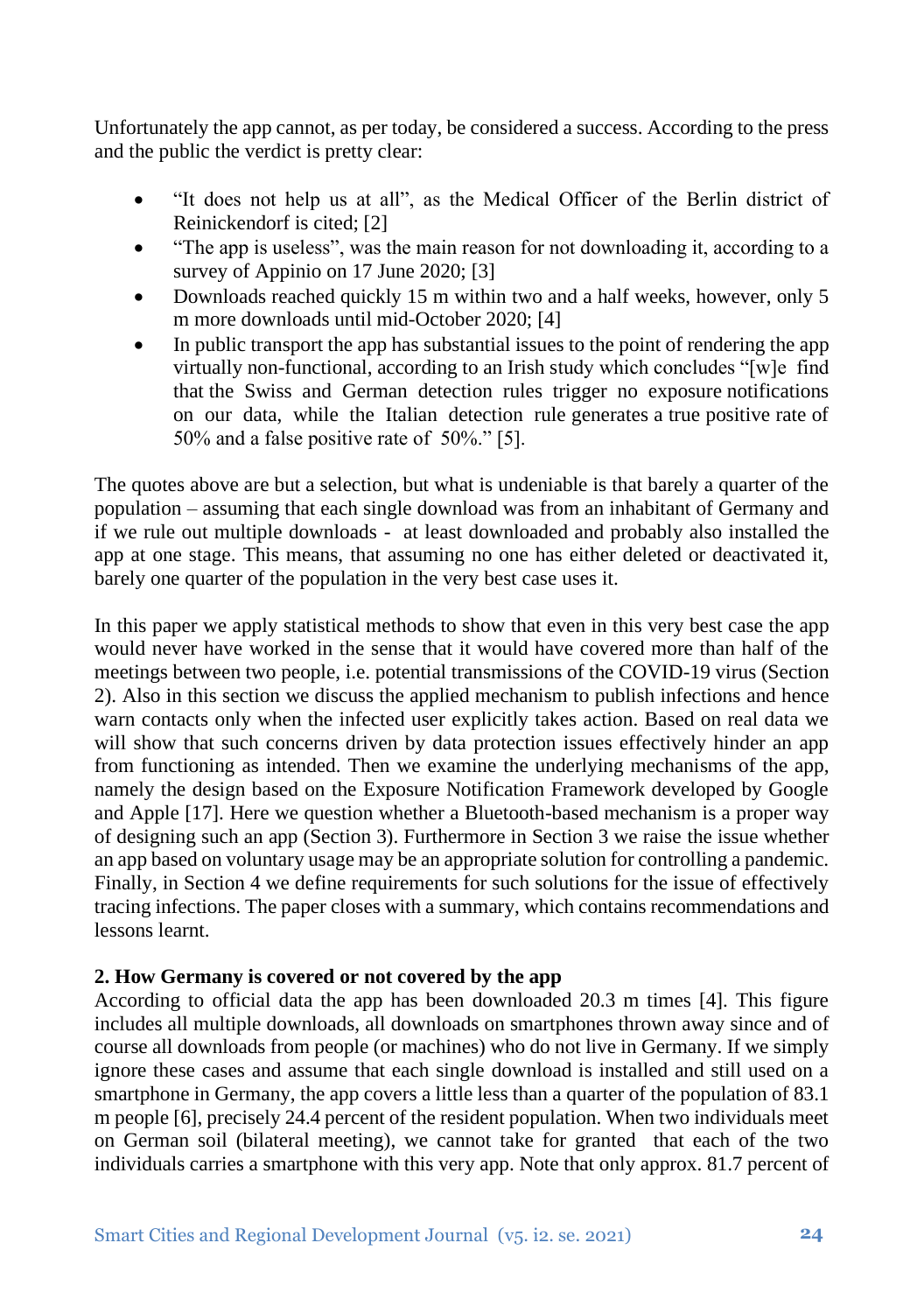Unfortunately the app cannot, as per today, be considered a success. According to the press and the public the verdict is pretty clear:

- "It does not help us at all", as the Medical Officer of the Berlin district of Reinickendorf is cited; [2]
- "The app is useless", was the main reason for not downloading it, according to a survey of Appinio on 17 June 2020; [3]
- Downloads reached quickly 15 m within two and a half weeks, however, only 5 m more downloads until mid-October 2020; [4]
- In public transport the app has substantial issues to the point of rendering the app virtually non-functional, according to an Irish study which concludes "[w]e find that the Swiss and German detection rules trigger no exposure notifications on our data, while the Italian detection rule generates a true positive rate of 50% and a false positive rate of 50%." [5].

The quotes above are but a selection, but what is undeniable is that barely a quarter of the population – assuming that each single download was from an inhabitant of Germany and if we rule out multiple downloads - at least downloaded and probably also installed the app at one stage. This means, that assuming no one has either deleted or deactivated it, barely one quarter of the population in the very best case uses it.

In this paper we apply statistical methods to show that even in this very best case the app would never have worked in the sense that it would have covered more than half of the meetings between two people, i.e. potential transmissions of the COVID-19 virus (Section 2). Also in this section we discuss the applied mechanism to publish infections and hence warn contacts only when the infected user explicitly takes action. Based on real data we will show that such concerns driven by data protection issues effectively hinder an app from functioning as intended. Then we examine the underlying mechanisms of the app, namely the design based on the Exposure Notification Framework developed by Google and Apple [17]. Here we question whether a Bluetooth-based mechanism is a proper way of designing such an app (Section 3). Furthermore in Section 3 we raise the issue whether an app based on voluntary usage may be an appropriate solution for controlling a pandemic. Finally, in Section 4 we define requirements for such solutions for the issue of effectively tracing infections. The paper closes with a summary, which contains recommendations and lessons learnt.

## **2. How Germany is covered or not covered by the app**

According to official data the app has been downloaded 20.3 m times [4]. This figure includes all multiple downloads, all downloads on smartphones thrown away since and of course all downloads from people (or machines) who do not live in Germany. If we simply ignore these cases and assume that each single download is installed and still used on a smartphone in Germany, the app covers a little less than a quarter of the population of 83.1 m people [6], precisely 24.4 percent of the resident population. When two individuals meet on German soil (bilateral meeting), we cannot take for granted that each of the two individuals carries a smartphone with this very app. Note that only approx. 81.7 percent of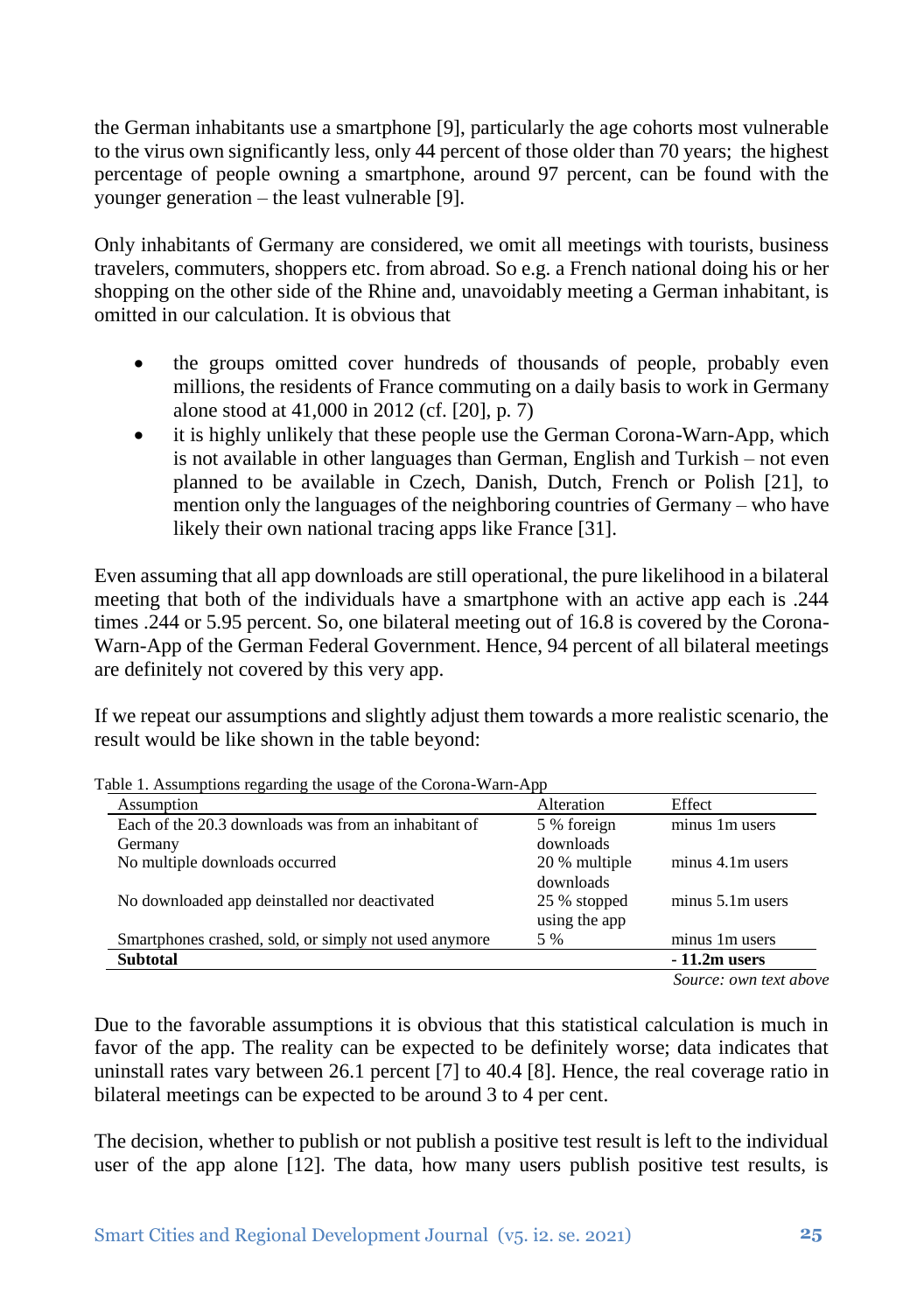the German inhabitants use a smartphone [9], particularly the age cohorts most vulnerable to the virus own significantly less, only 44 percent of those older than 70 years; the highest percentage of people owning a smartphone, around 97 percent, can be found with the younger generation – the least vulnerable [9].

Only inhabitants of Germany are considered, we omit all meetings with tourists, business travelers, commuters, shoppers etc. from abroad. So e.g. a French national doing his or her shopping on the other side of the Rhine and, unavoidably meeting a German inhabitant, is omitted in our calculation. It is obvious that

- the groups omitted cover hundreds of thousands of people, probably even millions, the residents of France commuting on a daily basis to work in Germany alone stood at 41,000 in 2012 (cf. [20], p. 7)
- it is highly unlikely that these people use the German Corona-Warn-App, which is not available in other languages than German, English and Turkish – not even planned to be available in Czech, Danish, Dutch, French or Polish [21], to mention only the languages of the neighboring countries of Germany – who have likely their own national tracing apps like France [31].

Even assuming that all app downloads are still operational, the pure likelihood in a bilateral meeting that both of the individuals have a smartphone with an active app each is .244 times .244 or 5.95 percent. So, one bilateral meeting out of 16.8 is covered by the Corona-Warn-App of the German Federal Government. Hence, 94 percent of all bilateral meetings are definitely not covered by this very app.

If we repeat our assumptions and slightly adjust them towards a more realistic scenario, the result would be like shown in the table beyond:

|                                                       |                           | Source: own text above |
|-------------------------------------------------------|---------------------------|------------------------|
| <b>Subtotal</b>                                       |                           | $-11.2m$ users         |
| Smartphones crashed, sold, or simply not used anymore | 5 %                       | minus 1m users         |
|                                                       | using the app             |                        |
| No downloaded app deinstalled nor deactivated         | downloads<br>25 % stopped | $minus 5.1m$ users     |
| No multiple downloads occurred                        | 20 % multiple             | minus 4.1m users       |
| Germany                                               | downloads                 |                        |
| Each of the 20.3 downloads was from an inhabitant of  | 5 % foreign               | minus 1m users         |
| Assumption                                            | Alteration                | Effect                 |

Table 1. Assumptions regarding the usage of the Corona-Warn-App

*Source: own text above*

Due to the favorable assumptions it is obvious that this statistical calculation is much in favor of the app. The reality can be expected to be definitely worse; data indicates that uninstall rates vary between 26.1 percent [7] to 40.4 [8]. Hence, the real coverage ratio in bilateral meetings can be expected to be around 3 to 4 per cent.

The decision, whether to publish or not publish a positive test result is left to the individual user of the app alone  $[12]$ . The data, how many users publish positive test results, is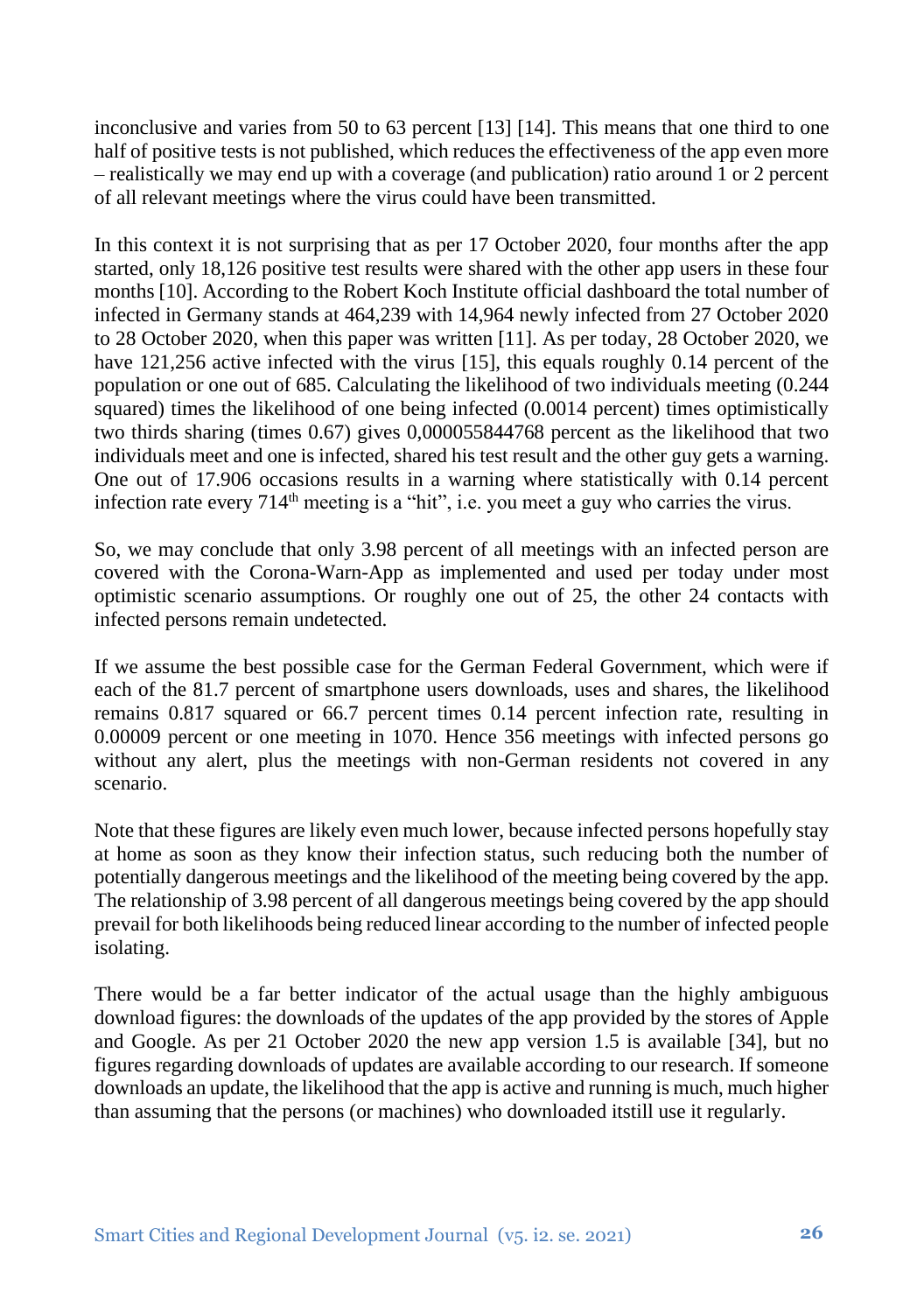inconclusive and varies from 50 to 63 percent [13] [14]. This means that one third to one half of positive tests is not published, which reduces the effectiveness of the app even more – realistically we may end up with a coverage (and publication) ratio around 1 or 2 percent of all relevant meetings where the virus could have been transmitted.

In this context it is not surprising that as per 17 October 2020, four months after the app started, only 18,126 positive test results were shared with the other app users in these four months [10]. According to the Robert Koch Institute official dashboard the total number of infected in Germany stands at 464,239 with 14,964 newly infected from 27 October 2020 to 28 October 2020, when this paper was written [11]. As per today, 28 October 2020, we have 121,256 active infected with the virus [15], this equals roughly 0.14 percent of the population or one out of 685. Calculating the likelihood of two individuals meeting (0.244 squared) times the likelihood of one being infected (0.0014 percent) times optimistically two thirds sharing (times 0.67) gives 0,000055844768 percent as the likelihood that two individuals meet and one is infected, shared his test result and the other guy gets a warning. One out of 17.906 occasions results in a warning where statistically with 0.14 percent infection rate every 714<sup>th</sup> meeting is a "hit", i.e. you meet a guy who carries the virus.

So, we may conclude that only 3.98 percent of all meetings with an infected person are covered with the Corona-Warn-App as implemented and used per today under most optimistic scenario assumptions. Or roughly one out of 25, the other 24 contacts with infected persons remain undetected.

If we assume the best possible case for the German Federal Government, which were if each of the 81.7 percent of smartphone users downloads, uses and shares, the likelihood remains 0.817 squared or 66.7 percent times 0.14 percent infection rate, resulting in 0.00009 percent or one meeting in 1070. Hence 356 meetings with infected persons go without any alert, plus the meetings with non-German residents not covered in any scenario.

Note that these figures are likely even much lower, because infected persons hopefully stay at home as soon as they know their infection status, such reducing both the number of potentially dangerous meetings and the likelihood of the meeting being covered by the app. The relationship of 3.98 percent of all dangerous meetings being covered by the app should prevail for both likelihoods being reduced linear according to the number of infected people isolating.

There would be a far better indicator of the actual usage than the highly ambiguous download figures: the downloads of the updates of the app provided by the stores of Apple and Google. As per 21 October 2020 the new app version 1.5 is available [34], but no figures regarding downloads of updates are available according to our research. If someone downloads an update, the likelihood that the app is active and running is much, much higher than assuming that the persons (or machines) who downloaded itstill use it regularly.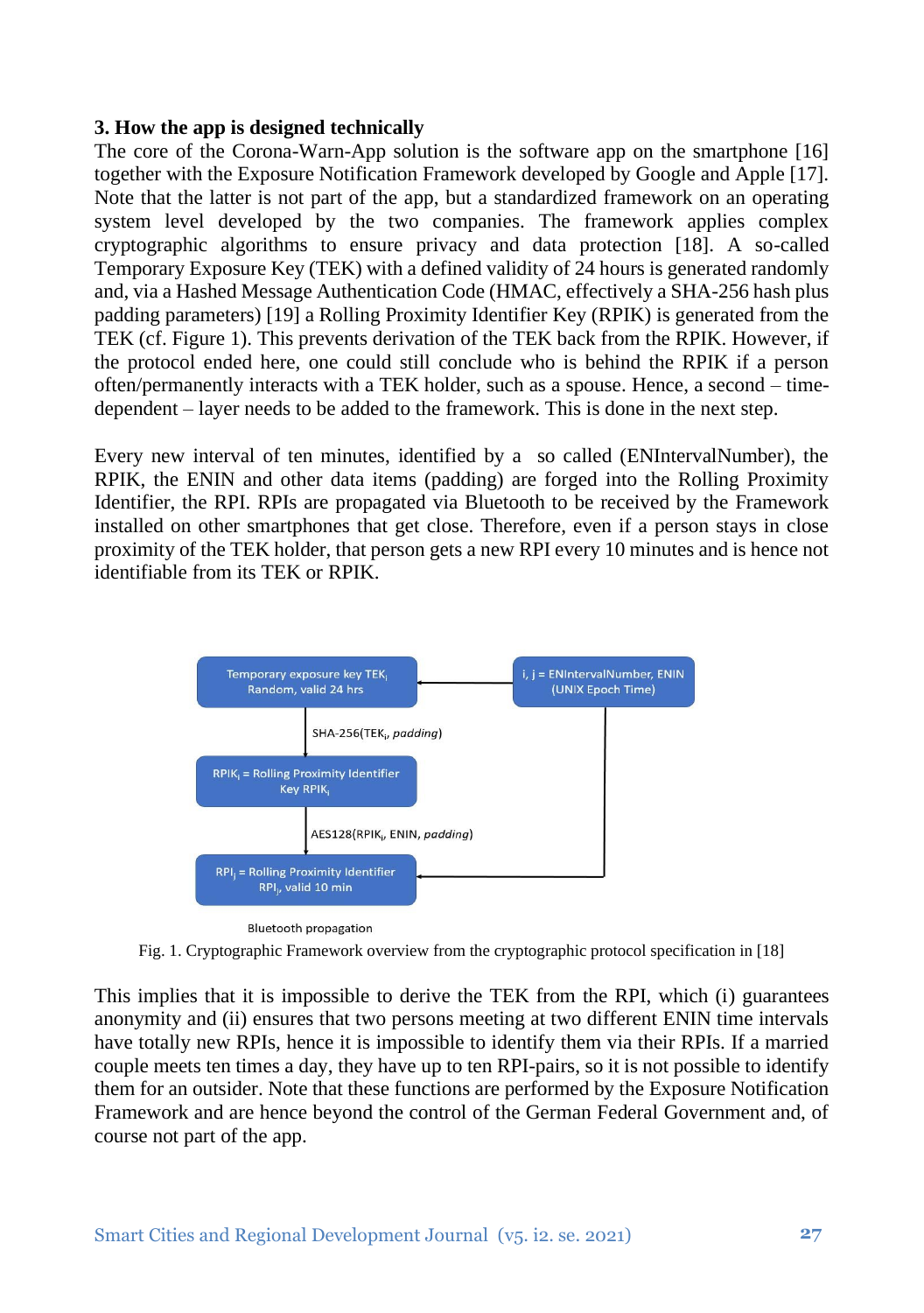#### **3. How the app is designed technically**

The core of the Corona-Warn-App solution is the software app on the smartphone [16] together with the Exposure Notification Framework developed by Google and Apple [17]. Note that the latter is not part of the app, but a standardized framework on an operating system level developed by the two companies. The framework applies complex cryptographic algorithms to ensure privacy and data protection [18]. A so-called Temporary Exposure Key (TEK) with a defined validity of 24 hours is generated randomly and, via a Hashed Message Authentication Code (HMAC, effectively a SHA-256 hash plus padding parameters) [19] a Rolling Proximity Identifier Key (RPIK) is generated from the TEK (cf. Figure 1). This prevents derivation of the TEK back from the RPIK. However, if the protocol ended here, one could still conclude who is behind the RPIK if a person often/permanently interacts with a TEK holder, such as a spouse. Hence, a second – timedependent – layer needs to be added to the framework. This is done in the next step.

Every new interval of ten minutes, identified by a so called (ENIntervalNumber), the RPIK, the ENIN and other data items (padding) are forged into the Rolling Proximity Identifier, the RPI. RPIs are propagated via Bluetooth to be received by the Framework installed on other smartphones that get close. Therefore, even if a person stays in close proximity of the TEK holder, that person gets a new RPI every 10 minutes and is hence not identifiable from its TEK or RPIK.



Fig. 1. Cryptographic Framework overview from the cryptographic protocol specification in [18]

This implies that it is impossible to derive the TEK from the RPI, which (i) guarantees anonymity and (ii) ensures that two persons meeting at two different ENIN time intervals have totally new RPIs, hence it is impossible to identify them via their RPIs. If a married couple meets ten times a day, they have up to ten RPI-pairs, so it is not possible to identify them for an outsider. Note that these functions are performed by the Exposure Notification Framework and are hence beyond the control of the German Federal Government and, of course not part of the app.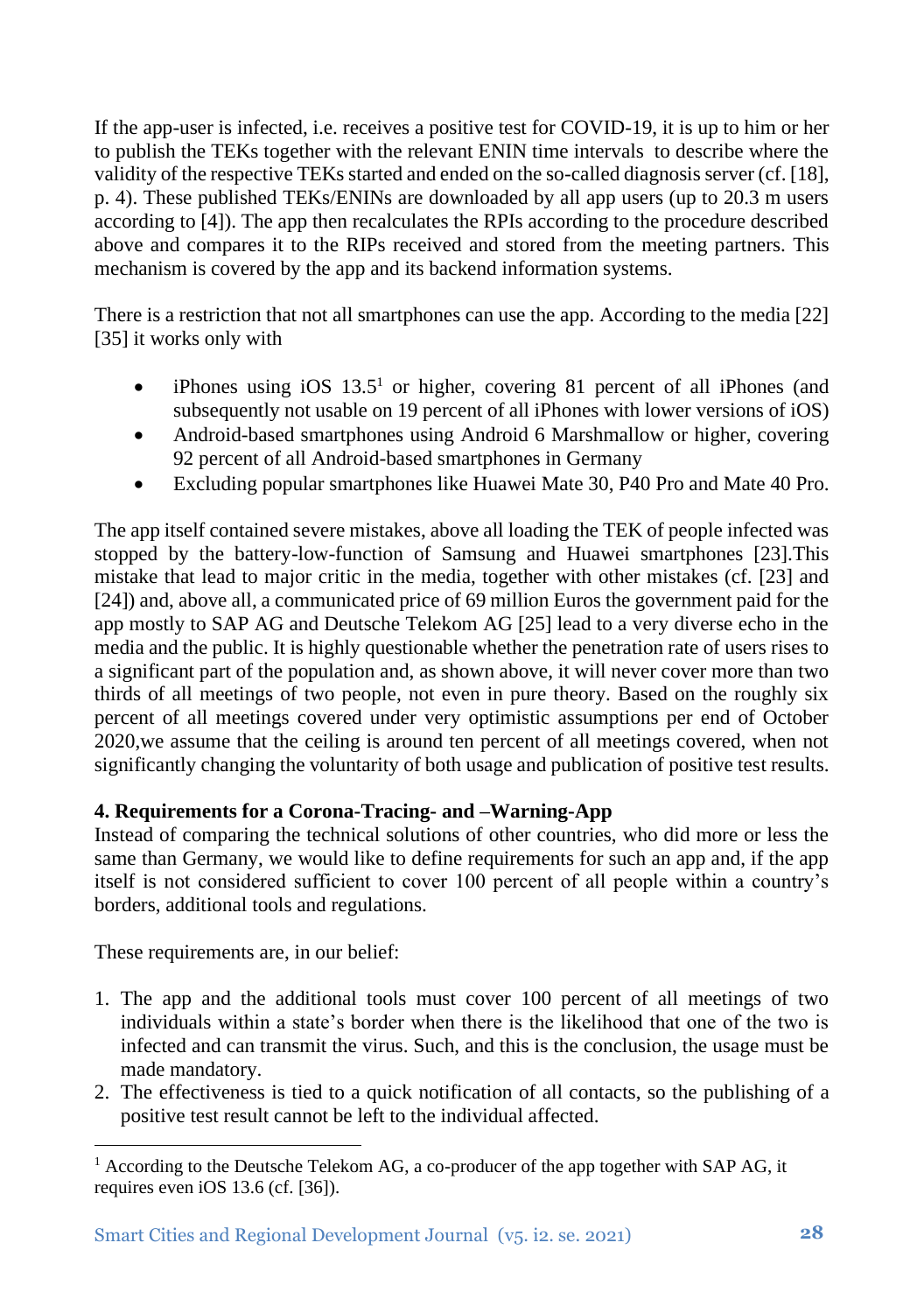If the app-user is infected, i.e. receives a positive test for COVID-19, it is up to him or her to publish the TEKs together with the relevant ENIN time intervals to describe where the validity of the respective TEKs started and ended on the so-called diagnosis server (cf. [18], p. 4). These published TEKs/ENINs are downloaded by all app users (up to 20.3 m users according to [4]). The app then recalculates the RPIs according to the procedure described above and compares it to the RIPs received and stored from the meeting partners. This mechanism is covered by the app and its backend information systems.

There is a restriction that not all smartphones can use the app. According to the media [22] [35] it works only with

- iPhones using iOS  $13.5<sup>1</sup>$  or higher, covering 81 percent of all iPhones (and subsequently not usable on 19 percent of all iPhones with lower versions of iOS)
- Android-based smartphones using Android 6 Marshmallow or higher, covering 92 percent of all Android-based smartphones in Germany
- Excluding popular smartphones like Huawei Mate 30, P40 Pro and Mate 40 Pro.

The app itself contained severe mistakes, above all loading the TEK of people infected was stopped by the battery-low-function of Samsung and Huawei smartphones [23].This mistake that lead to major critic in the media, together with other mistakes (cf. [23] and [24]) and, above all, a communicated price of 69 million Euros the government paid for the app mostly to SAP AG and Deutsche Telekom AG [25] lead to a very diverse echo in the media and the public. It is highly questionable whether the penetration rate of users rises to a significant part of the population and, as shown above, it will never cover more than two thirds of all meetings of two people, not even in pure theory. Based on the roughly six percent of all meetings covered under very optimistic assumptions per end of October 2020,we assume that the ceiling is around ten percent of all meetings covered, when not significantly changing the voluntarity of both usage and publication of positive test results.

# **4. Requirements for a Corona-Tracing- and –Warning-App**

Instead of comparing the technical solutions of other countries, who did more or less the same than Germany, we would like to define requirements for such an app and, if the app itself is not considered sufficient to cover 100 percent of all people within a country's borders, additional tools and regulations.

These requirements are, in our belief:

- 1. The app and the additional tools must cover 100 percent of all meetings of two individuals within a state's border when there is the likelihood that one of the two is infected and can transmit the virus. Such, and this is the conclusion, the usage must be made mandatory.
- 2. The effectiveness is tied to a quick notification of all contacts, so the publishing of a positive test result cannot be left to the individual affected.

<sup>&</sup>lt;sup>1</sup> According to the Deutsche Telekom AG, a co-producer of the app together with SAP AG, it requires even iOS 13.6 (cf. [36]).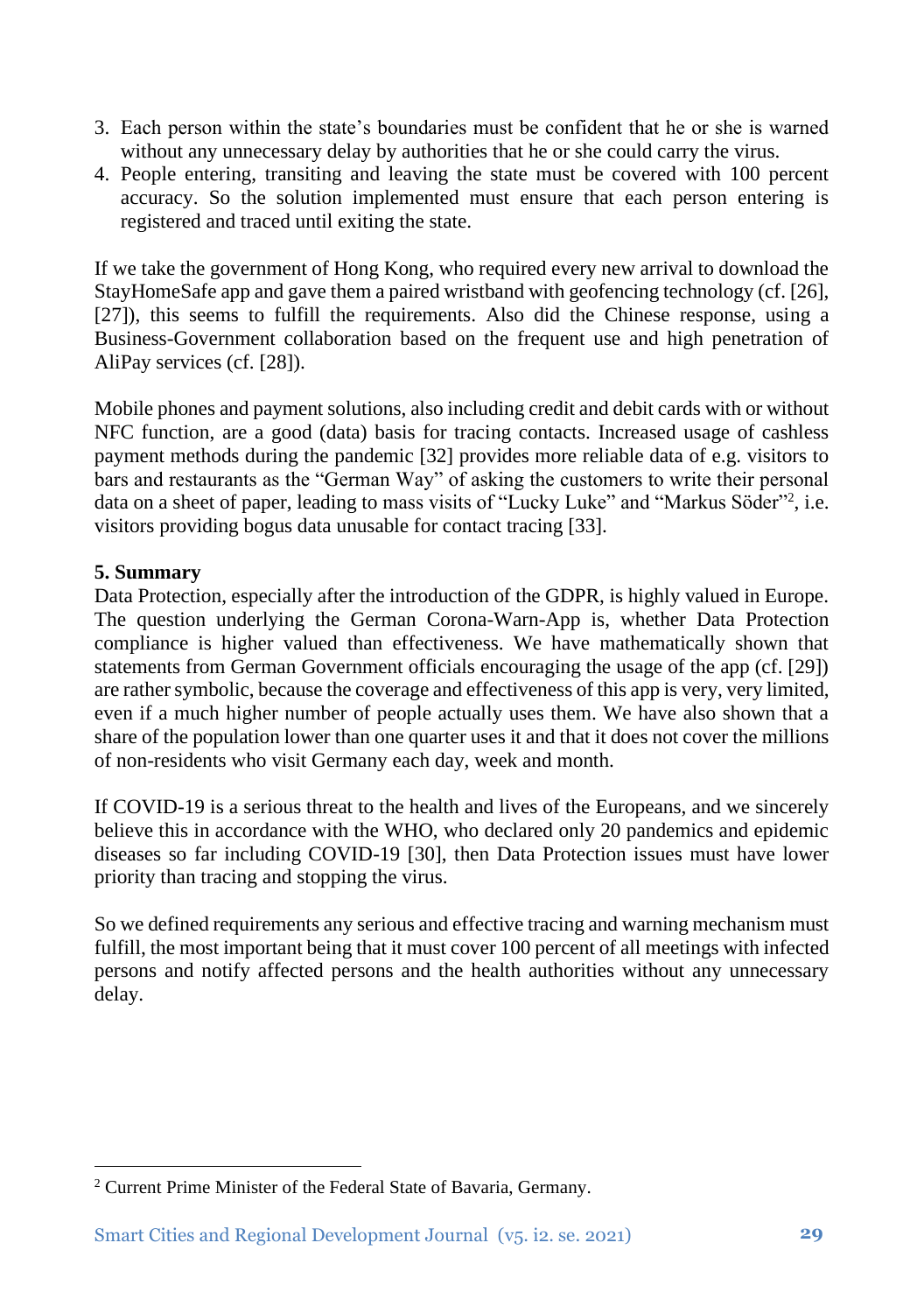- 3. Each person within the state's boundaries must be confident that he or she is warned without any unnecessary delay by authorities that he or she could carry the virus.
- 4. People entering, transiting and leaving the state must be covered with 100 percent accuracy. So the solution implemented must ensure that each person entering is registered and traced until exiting the state.

If we take the government of Hong Kong, who required every new arrival to download the StayHomeSafe app and gave them a paired wristband with geofencing technology (cf. [26], [27]), this seems to fulfill the requirements. Also did the Chinese response, using a Business-Government collaboration based on the frequent use and high penetration of AliPay services (cf. [28]).

Mobile phones and payment solutions, also including credit and debit cards with or without NFC function, are a good (data) basis for tracing contacts. Increased usage of cashless payment methods during the pandemic [32] provides more reliable data of e.g. visitors to bars and restaurants as the "German Way" of asking the customers to write their personal data on a sheet of paper, leading to mass visits of "Lucky Luke" and "Markus Söder"<sup>2</sup> , i.e. visitors providing bogus data unusable for contact tracing [33].

# **5. Summary**

Data Protection, especially after the introduction of the GDPR, is highly valued in Europe. The question underlying the German Corona-Warn-App is, whether Data Protection compliance is higher valued than effectiveness. We have mathematically shown that statements from German Government officials encouraging the usage of the app (cf. [29]) are rather symbolic, because the coverage and effectiveness of this app is very, very limited, even if a much higher number of people actually uses them. We have also shown that a share of the population lower than one quarter uses it and that it does not cover the millions of non-residents who visit Germany each day, week and month.

If COVID-19 is a serious threat to the health and lives of the Europeans, and we sincerely believe this in accordance with the WHO, who declared only 20 pandemics and epidemic diseases so far including COVID-19 [30], then Data Protection issues must have lower priority than tracing and stopping the virus.

So we defined requirements any serious and effective tracing and warning mechanism must fulfill, the most important being that it must cover 100 percent of all meetings with infected persons and notify affected persons and the health authorities without any unnecessary delay.

<sup>2</sup> Current Prime Minister of the Federal State of Bavaria, Germany.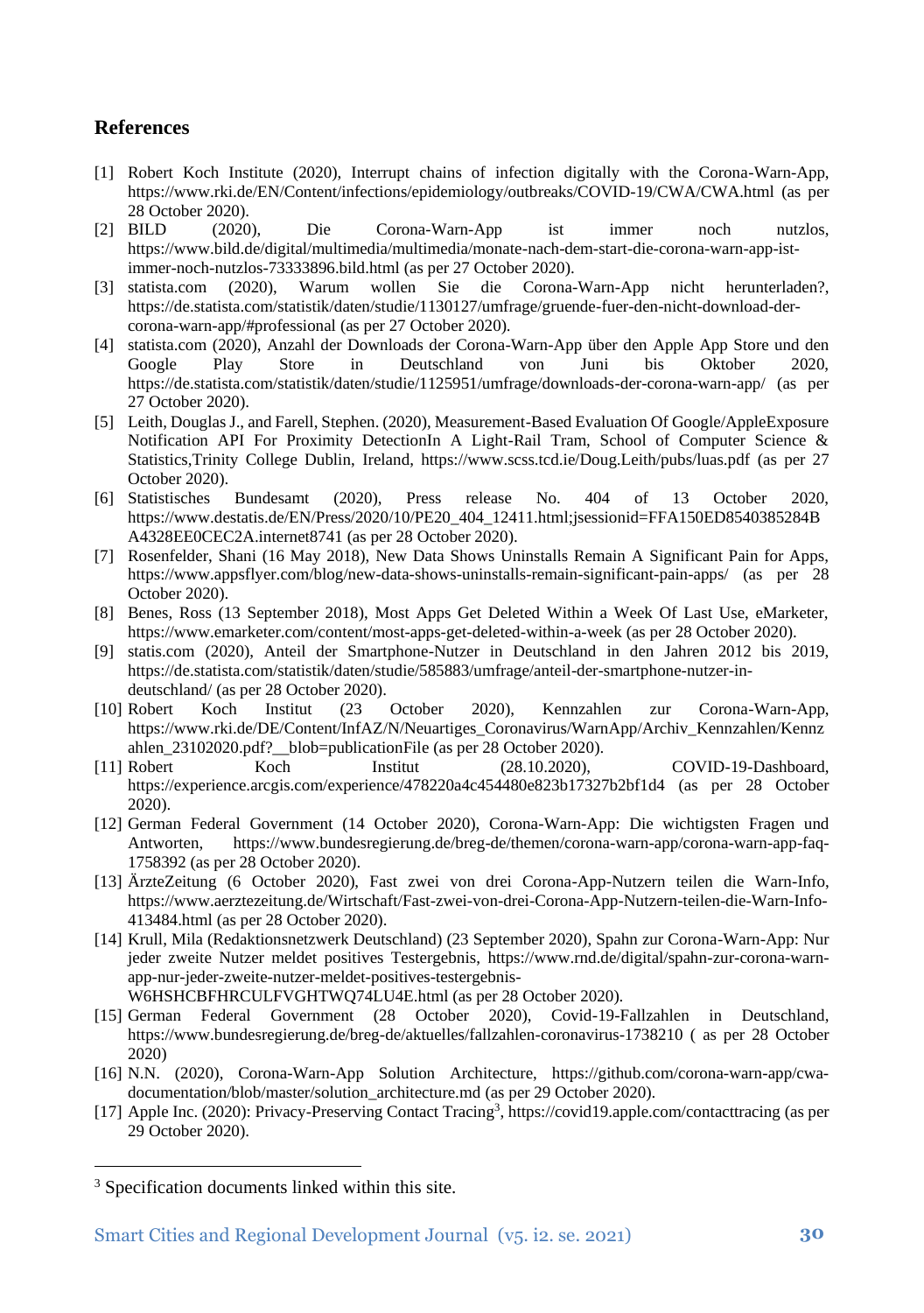## **References**

- [1] Robert Koch Institute (2020), Interrupt chains of infection digitally with the Corona-Warn-App, <https://www.rki.de/EN/Content/infections/epidemiology/outbreaks/COVID-19/CWA/CWA.html> (as per 28 October 2020).<br>[2] BILD (2020),
- Die Corona-Warn-App ist immer noch nutzlos, [https://www.bild.de/digital/multimedia/multimedia/monate-nach-dem-start-die-corona-warn-app-ist](https://www.bild.de/digital/multimedia/multimedia/monate-nach-dem-start-die-corona-warn-app-ist-immer-noch-nutzlos-73333896.bild.html)[immer-noch-nutzlos-73333896.bild.html](https://www.bild.de/digital/multimedia/multimedia/monate-nach-dem-start-die-corona-warn-app-ist-immer-noch-nutzlos-73333896.bild.html) (as per 27 October 2020).<br>statista.com (2020). Warum wollen Sie die Corona-
- [3] statista.com (2020), Warum wollen Sie die Corona-Warn-App nicht herunterladen?, [https://de.statista.com/statistik/daten/studie/1130127/umfrage/gruende-fuer-den-nicht-download-der](https://de.statista.com/statistik/daten/studie/1130127/umfrage/gruende-fuer-den-nicht-download-der-corona-warn-app/#professional)[corona-warn-app/#professional](https://de.statista.com/statistik/daten/studie/1130127/umfrage/gruende-fuer-den-nicht-download-der-corona-warn-app/#professional) (as per 27 October 2020).
- [4] statista.com (2020), Anzahl der Downloads der Corona-Warn-App über den Apple App Store und den Google Play Store in Deutschland von Juni bis Oktober 2020, <https://de.statista.com/statistik/daten/studie/1125951/umfrage/downloads-der-corona-warn-app/> (as per 27 October 2020).
- [5] Leith, Douglas J., and Farell, Stephen. (2020), Measurement-Based Evaluation Of Google/AppleExposure Notification API For Proximity DetectionIn A Light-Rail Tram, School of Computer Science & Statistics,Trinity College Dublin, Ireland,<https://www.scss.tcd.ie/Doug.Leith/pubs/luas.pdf> (as per 27 October 2020).
- [6] Statistisches Bundesamt (2020), Press release No. 404 of 13 October 2020, [https://www.destatis.de/EN/Press/2020/10/PE20\\_404\\_12411.html;jsessionid=FFA150ED8540385284B](https://www.destatis.de/EN/Press/2020/10/PE20_404_12411.html;jsessionid=FFA150ED8540385284BA4328EE0CEC2A.internet8741) [A4328EE0CEC2A.internet8741](https://www.destatis.de/EN/Press/2020/10/PE20_404_12411.html;jsessionid=FFA150ED8540385284BA4328EE0CEC2A.internet8741) (as per 28 October 2020).
- [7] Rosenfelder, Shani (16 May 2018), New Data Shows Uninstalls Remain A Significant Pain for Apps, <https://www.appsflyer.com/blog/new-data-shows-uninstalls-remain-significant-pain-apps/> (as per 28 October 2020).
- [8] Benes, Ross (13 September 2018), Most Apps Get Deleted Within a Week Of Last Use, eMarketer, <https://www.emarketer.com/content/most-apps-get-deleted-within-a-week> (as per 28 October 2020).
- [9] statis.com (2020), Anteil der Smartphone-Nutzer in Deutschland in den Jahren 2012 bis 2019, [https://de.statista.com/statistik/daten/studie/585883/umfrage/anteil-der-smartphone-nutzer-in](https://de.statista.com/statistik/daten/studie/585883/umfrage/anteil-der-smartphone-nutzer-in-deutschland/)[deutschland/](https://de.statista.com/statistik/daten/studie/585883/umfrage/anteil-der-smartphone-nutzer-in-deutschland/) (as per 28 October 2020).
- [10] Robert Koch Institut (23 October 2020), Kennzahlen zur Corona-Warn-App, [https://www.rki.de/DE/Content/InfAZ/N/Neuartiges\\_Coronavirus/WarnApp/Archiv\\_Kennzahlen/Kennz](https://www.rki.de/DE/Content/InfAZ/N/Neuartiges_Coronavirus/WarnApp/Archiv_Kennzahlen/Kennzahlen_23102020.pdf?__blob=publicationFile) [ahlen\\_23102020.pdf?\\_\\_blob=publicationFile](https://www.rki.de/DE/Content/InfAZ/N/Neuartiges_Coronavirus/WarnApp/Archiv_Kennzahlen/Kennzahlen_23102020.pdf?__blob=publicationFile) (as per 28 October 2020).
- [11] Robert Koch Institut (28.10.2020), COVID-19-Dashboard, <https://experience.arcgis.com/experience/478220a4c454480e823b17327b2bf1d4> (as per 28 October 2020).
- [12] German Federal Government (14 October 2020), Corona-Warn-App: Die wichtigsten Fragen und Antworten, [https://www.bundesregierung.de/breg-de/themen/corona-warn-app/corona-warn-app-faq-](https://www.bundesregierung.de/breg-de/themen/corona-warn-app/corona-warn-app-faq-1758392)[1758392](https://www.bundesregierung.de/breg-de/themen/corona-warn-app/corona-warn-app-faq-1758392) (as per 28 October 2020).
- [13] ÄrzteZeitung (6 October 2020), Fast zwei von drei Corona-App-Nutzern teilen die Warn-Info, [https://www.aerztezeitung.de/Wirtschaft/Fast-zwei-von-drei-Corona-App-Nutzern-teilen-die-Warn-Info-](https://www.aerztezeitung.de/Wirtschaft/Fast-zwei-von-drei-Corona-App-Nutzern-teilen-die-Warn-Info-413484.html)[413484.html](https://www.aerztezeitung.de/Wirtschaft/Fast-zwei-von-drei-Corona-App-Nutzern-teilen-die-Warn-Info-413484.html) (as per 28 October 2020).
- [14] Krull, Mila (Redaktionsnetzwerk Deutschland) (23 September 2020), Spahn zur Corona-Warn-App: Nur jeder zweite Nutzer meldet positives Testergebnis, [https://www.rnd.de/digital/spahn-zur-corona-warn](https://www.rnd.de/digital/spahn-zur-corona-warn-app-nur-jeder-zweite-nutzer-meldet-positives-testergebnis-W6HSHCBFHRCULFVGHTWQ74LU4E.html)[app-nur-jeder-zweite-nutzer-meldet-positives-testergebnis-](https://www.rnd.de/digital/spahn-zur-corona-warn-app-nur-jeder-zweite-nutzer-meldet-positives-testergebnis-W6HSHCBFHRCULFVGHTWQ74LU4E.html)

[W6HSHCBFHRCULFVGHTWQ74LU4E.html](https://www.rnd.de/digital/spahn-zur-corona-warn-app-nur-jeder-zweite-nutzer-meldet-positives-testergebnis-W6HSHCBFHRCULFVGHTWQ74LU4E.html) (as per 28 October 2020).

- [15] German Federal Government (28 October 2020), Covid-19-Fallzahlen in Deutschland, <https://www.bundesregierung.de/breg-de/aktuelles/fallzahlen-coronavirus-1738210> ( as per 28 October 2020)
- [16] N.N. (2020), Corona-Warn-App Solution Architecture, [https://github.com/corona-warn-app/cwa](https://github.com/corona-warn-app/cwa-documentation/blob/master/solution_architecture.md)[documentation/blob/master/solution\\_architecture.md](https://github.com/corona-warn-app/cwa-documentation/blob/master/solution_architecture.md) (as per 29 October 2020).
- [17] Apple Inc. (2020): Privacy-Preserving Contact Tracing<sup>3</sup>[, https://covid19.apple.com/contacttracing](https://covid19.apple.com/contacttracing) (as per 29 October 2020).

<sup>3</sup> Specification documents linked within this site.